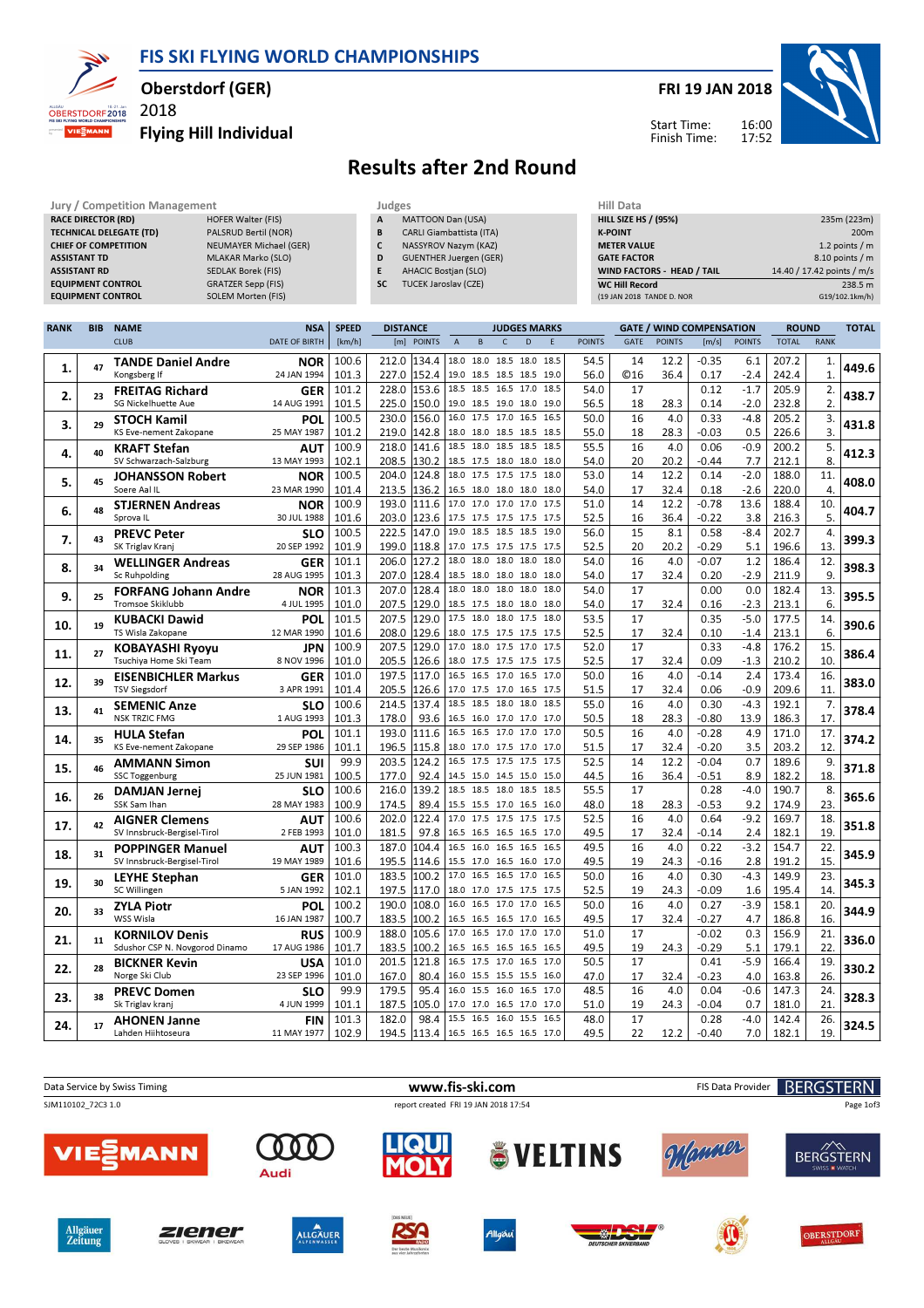FIS SKI FLYING WORLD CHAMPIONSHIPS



## Oberstdorf (GER)

2018

Flying Hill Individual



## Results after 2nd Round

| Jury / Competition Management  |                        |           | Judges                          | Hill Data                         |                            |  |  |  |
|--------------------------------|------------------------|-----------|---------------------------------|-----------------------------------|----------------------------|--|--|--|
| <b>RACE DIRECTOR (RD)</b>      | HOFER Walter (FIS)     | A         | MATTOON Dan (USA)               | <b>HILL SIZE HS / (95%)</b>       | 235m (223m)                |  |  |  |
| <b>TECHNICAL DELEGATE (TD)</b> | PALSRUD Bertil (NOR)   | B         | <b>CARLI Giambattista (ITA)</b> | <b>K-POINT</b>                    | 200 <sub>m</sub>           |  |  |  |
| <b>CHIEF OF COMPETITION</b>    | NEUMAYER Michael (GER) |           | NASSYROV Nazym (KAZ)            | <b>METER VALUE</b>                | 1.2 points $/m$            |  |  |  |
| <b>ASSISTANT TD</b>            | MLAKAR Marko (SLO)     | D         | GUENTHER Juergen (GER)          | <b>GATE FACTOR</b>                | $8.10$ points / m          |  |  |  |
| <b>ASSISTANT RD</b>            | SEDLAK Borek (FIS)     |           | <b>AHACIC Bostjan (SLO)</b>     | <b>WIND FACTORS - HEAD / TAIL</b> | 14.40 / 17.42 points / m/s |  |  |  |
| <b>EQUIPMENT CONTROL</b>       | GRATZER Sepp (FIS)     | <b>SC</b> | <b>TUCEK Jaroslav (CZE)</b>     | <b>WC Hill Record</b>             | 238.5 m                    |  |  |  |
| <b>EQUIPMENT CONTROL</b>       | SOLEM Morten (FIS)     |           |                                 | (19 JAN 2018 TANDE D. NOR         | G19/102.1km/h)             |  |  |  |
|                                |                        |           |                                 |                                   |                            |  |  |  |

| <b>CLUB</b><br><b>POINTS</b><br><b>TOTAL</b><br><b>DATE OF BIRTH</b><br>[km/h]<br>[m] POINTS<br>$\overline{A}$<br><b>POINTS</b><br><b>GATE</b><br><b>POINTS</b><br><b>RANK</b><br>B<br>$\mathsf{C}$<br>D<br>E<br>[m/s]<br>100.6<br>212.0<br>134.4<br>18.0 18.0 18.5 18.0<br>18.5<br>54.5<br>14<br>12.2<br>$-0.35$<br>6.1<br>207.2<br>1.<br><b>TANDE Daniel Andre</b><br><b>NOR</b><br>449.6<br>47<br>1.<br>24 JAN 1994<br>101.3<br>227.0<br>152.4<br>19.0 18.5 18.5 18.5<br>19.0<br>56.0<br>©16<br>36.4<br>0.17<br>$-2.4$<br>242.4<br>$\mathbf{1}$<br>Kongsberg If<br>18.5<br>18.5 16.5 17.0<br>18.5<br>101.2<br>228.0<br>153.6<br>54.0<br>0.12<br>$-1.7$<br>205.9<br>2.<br>17<br><b>FREITAG Richard</b><br><b>GER</b><br>438.7<br>23<br>2.<br>2.<br><b>SG Nickelhuette Aue</b><br>14 AUG 1991<br>101.5<br>150.0<br>$-2.0$<br>225.0<br>19.0 18.5 19.0 18.0<br>19.0<br>56.5<br>18<br>28.3<br>0.14<br>232.8<br>100.5<br>230.0<br>156.0<br>16.0<br>17.5 17.0<br>16.5<br>16.5<br>50.0<br>16<br>4.0<br>$-4.8$<br>205.2<br>3.<br>0.33<br>POL<br><b>STOCH Kamil</b><br>431.8<br>3.<br>29<br>$\overline{3}$ .<br>28.3<br>0.5<br>101.2<br>219.0<br>142.8<br>55.0<br>18<br>$-0.03$<br>226.6<br>KS Eve-nement Zakopane<br>25 MAY 1987<br>18.0 18.0 18.5 18.5<br>18.5<br>100.9<br>141.6<br>5.<br>218.0<br>18.5<br>18.0 18.5 18.5<br>18.5<br>55.5<br>16<br>4.0<br>0.06<br>$-0.9$<br>200.2<br>AUT<br><b>KRAFT Stefan</b><br>412.3<br>40<br>4.<br>8.<br>208.5<br>130.2<br>54.0<br>20<br>20.2<br>7.7<br>13 MAY 1993<br>102.1<br>$-0.44$<br>212.1<br>SV Schwarzach-Salzburg<br>18.5 17.5 18.0 18.0<br>18.0<br>124.8<br>$-2.0$<br>100.5<br>204.0<br>18.0<br>17.5 17.5 17.5<br>18.0<br>53.0<br>14<br>12.2<br>0.14<br>188.0<br>11.<br><b>NOR</b><br><b>JOHANSSON Robert</b><br>408.0<br>5.<br>45<br>$\overline{4}$ .<br>101.4<br>136.2<br>32.4<br>$-2.6$<br>Soere Aal IL<br>23 MAR 1990<br>213.5<br>16.5 18.0 18.0 18.0<br>54.0<br>17<br>0.18<br>220.0<br>18.0<br>111.6<br>17.0<br>17.0 17.0 17.0<br>17.5<br>100.9<br>193.0<br>51.0<br>14<br>12.2<br>$-0.78$<br>13.6<br>188.4<br>10.<br><b>STJERNEN Andreas</b><br><b>NOR</b><br>404.7<br>48<br>6.<br>5.<br>Sprova <sub>IL</sub><br>30 JUL 1988<br>101.6<br>203.0<br>123.6<br>17.5 17.5 17.5 17.5<br>52.5<br>36.4<br>$-0.22$<br>3.8<br>17.5<br>16<br>216.3<br>19.0 18.5 18.5 18.5<br>222.5<br>147.0<br>19.0<br>15<br>4.<br>100.5<br>56.0<br>8.1<br>0.58<br>$-8.4$<br>202.7<br><b>PREVC Peter</b><br><b>SLO</b><br>399.3<br>7.<br>43<br>20 SEP 1992<br>101.9<br>199.0<br>118.8<br>52.5<br>20<br>20.2<br>$-0.29$<br>196.6<br>13.<br>SK Triglav Kranj<br>17.0 17.5 17.5 17.5<br>17.5<br>5.1<br>101.1<br>206.0<br>127.2<br>18.0 18.0 18.0 18.0<br>54.0<br>16<br>4.0<br>$-0.07$<br>1.2<br>186.4<br>12.<br>18.0<br><b>WELLINGER Andreas</b><br><b>GER</b><br>398.3<br>34<br>8.<br>9.<br>128.4<br>Sc Ruhpolding<br>28 AUG 1995<br>101.3<br>207.0<br>18.5 18.0 18.0 18.0<br>18.0<br>54.0<br>17<br>32.4<br>0.20<br>$-2.9$<br>211.9<br>101.3<br>207.0<br>128.4<br>18.0 18.0 18.0 18.0<br>54.0<br>17<br>0.0<br>182.4<br>13.<br>18.0<br>0.00<br><b>FORFANG Johann Andre</b><br><b>NOR</b><br>395.5<br>25<br>9.<br>6.<br>101.0<br>207.5<br>129.0<br>Tromsoe Skiklubb<br>4 JUL 1995<br>18.5 17.5 18.0 18.0<br>54.0<br>17<br>32.4<br>0.16<br>$-2.3$<br>213.1<br>18.0<br>129.0<br>$-5.0$<br>101.5<br>207.5<br>17.5 18.0 18.0 17.5<br>18.0<br>53.5<br>17<br>0.35<br>177.5<br>14.<br><b>KUBACKI Dawid</b><br>POL<br>390.6<br>19<br>10.<br>208.0<br>129.6<br>6.<br>101.6<br>52.5<br>17<br>32.4<br>0.10<br>$-1.4$<br>213.1<br>TS Wisla Zakopane<br>12 MAR 1990<br>18.0 17.5 17.5 17.5 17.5<br>129.0<br>15.<br>100.9<br>207.5<br>17.0 18.0 17.5 17.0<br>52.0<br>17<br>$-4.8$<br>176.2<br>17.5<br>0.33<br><b>JPN</b><br><b>KOBAYASHI Ryoyu</b><br>386.4<br>11.<br>27<br>10.<br>101.0<br>205.5<br>126.6<br>210.2<br>Tsuchiya Home Ski Team<br>8 NOV 1996<br>18.0 17.5 17.5 17.5<br>52.5<br>17<br>32.4<br>0.09<br>$-1.3$<br>17.5<br>101.0<br>197.5<br>117.0<br>50.0<br>4.0<br>2.4<br>173.4<br>16.<br>16.5<br>16.5 17.0 16.5<br>17.0<br>16<br>$-0.14$<br><b>EISENBICHLER Markus</b><br><b>GER</b><br>383.0<br>12.<br>39<br>101.4<br>205.5<br>126.6<br>51.5<br>$-0.9$<br>11.<br><b>TSV Siegsdorf</b><br>3 APR 1991<br>17.0 17.5 17.0 16.5 17.5<br>17<br>32.4<br>0.06<br>209.6<br>18.5 18.5 18.0<br>100.6<br>214.5<br>137.4<br>18.0<br>18.5<br>55.0<br>4.0<br>$-4.3$<br>7.<br>16<br>0.30<br>192.1<br><b>SEMENIC Anze</b><br><b>SLO</b><br>378.4<br>13.<br>41<br>17.<br><b>NSK TRZIC FMG</b><br>1 AUG 1993<br>101.3<br>178.0<br>93.6<br>50.5<br>18<br>28.3<br>186.3<br>16.5 16.0 17.0 17.0 17.0<br>$-0.80$<br>13.9<br>101.1<br>193.0<br>111.6<br>16.5 16.5 17.0 17.0<br>17.0<br>50.5<br>4.0<br>$-0.28$<br>171.0<br>17.<br>16<br>4.9<br><b>HULA Stefan</b><br><b>POL</b><br>374.2<br>14.<br>35<br>101.1<br>196.5<br>115.8<br>51.5<br>32.4<br>3.5<br>203.2<br>12.<br>KS Eve-nement Zakopane<br>29 SEP 1986<br>18.0 17.0 17.5 17.0 17.0<br>17<br>$-0.20$<br>203.5<br>124.2<br>16.5 17.5 17.5 17.5 17.5<br>52.5<br>12.2<br>0.7<br>99.9<br>14<br>$-0.04$<br>189.6<br>9.<br><b>SUI</b><br><b>AMMANN Simon</b><br>371.8<br>15.<br>46<br>100.5<br>92.4<br>18.<br><b>SSC Toggenburg</b><br>25 JUN 1981<br>177.0<br>14.5 15.0 14.5 15.0 15.0<br>44.5<br>36.4<br>$-0.51$<br>8.9<br>182.2<br>16<br>100.6<br>216.0<br>139.2<br>18.5 18.5 18.0 18.5 18.5<br>55.5<br>0.28<br>$-4.0$<br>190.7<br>17<br>8.<br><b>DAMJAN Jernej</b><br><b>SLO</b><br>365.6<br>26<br>16.<br>23.<br>100.9<br>174.5<br>89.4<br>48.0<br>28.3<br>$-0.53$<br>9.2<br>SSK Sam Ihan<br>28 MAY 1983<br>15.5 15.5 17.0 16.5 16.0<br>18<br>174.9<br>122.4<br>$-9.2$<br>18.<br>100.6<br>202.0<br>17.0 17.5 17.5 17.5 17.5<br>52.5<br>16<br>4.0<br>0.64<br>169.7<br><b>AUT</b><br><b>AIGNER Clemens</b><br>351.8<br>42<br>17.<br>19.<br>SV Innsbruck-Bergisel-Tirol<br>101.0<br>181.5<br>97.8<br>49.5<br>17<br>32.4<br>$-0.14$<br>2.4<br>182.1<br>2 FEB 1993<br>16.5 16.5 16.5 16.5 17.0<br>100.3<br>187.0<br>104.4<br>16.0 16.5<br>49.5<br>16<br>4.0<br>0.22<br>$-3.2$<br>154.7<br>22.<br>16.5<br>16.5<br>16.5<br><b>POPPINGER Manuel</b><br>AUT<br>345.9<br>18.<br>31<br>SV Innsbruck-Bergisel-Tirol<br>19 MAY 1989<br>101.6<br>195.5<br>114.6<br>15.5 17.0 16.5 16.0 17.0<br>49.5<br>19<br>24.3<br>2.8<br>191.2<br>15.<br>$-0.16$<br>100.2<br>17.0<br>50.0<br>4.0<br>0.30<br>$-4.3$<br>23.<br>101.0<br>183.5<br>16.5 16.5 17.0<br>16.5<br>16<br>149.9<br><b>GER</b><br><b>LEYHE Stephan</b><br>345.3<br>19.<br>30<br>52.5<br>14.<br>SC Willingen<br>5 JAN 1992<br>102.1<br>197.5<br>117.0<br>18.0 17.0 17.5 17.5 17.5<br>19<br>24.3<br>$-0.09$<br>1.6<br>195.4<br>108.0<br>50.0<br>16<br>4.0<br>0.27<br>158.1<br>20.<br>100.2<br>190.0<br>16.0<br>16.5 17.0<br>17.0<br>$-3.9$<br>16.5<br>POL<br><b>ZYLA Piotr</b><br>344.9<br>20.<br>33<br>WSS Wisla<br>16 JAN 1987<br>100.7<br>183.5<br>100.2<br>16.5 16.5 16.5 17.0 16.5<br>49.5<br>17<br>32.4<br>$-0.27$<br>4.7<br>186.8<br>16.<br>21.<br>100.9<br>105.6<br>17.0<br>16.5 17.0 17.0<br>51.0<br>17<br>$-0.02$<br>0.3<br>156.9<br>188.0<br>17.0<br><b>RUS</b><br><b>KORNILOV Denis</b><br>336.0<br>11<br>21.<br>22.<br>Sdushor CSP N. Novgorod Dinamo<br>101.7<br>100.2<br>16.5 16.5 16.5 16.5 16.5<br>5.1<br>179.1<br>17 AUG 1986<br>183.5<br>49.5<br>19<br>24.3<br>$-0.29$<br>16.5 17.5 17.0 16.5<br>19.<br>101.0<br>201.5<br>121.8<br>17.0<br>50.5<br>17<br>$-5.9$<br>166.4<br>0.41<br><b>USA</b><br><b>BICKNER Kevin</b><br>330.2<br>28<br>22.<br>23 SEP 1996<br>101.0<br>80.4<br>26.<br>Norge Ski Club<br>167.0<br>16.0 15.5 15.5 15.5 16.0<br>47.0<br>17<br>32.4<br>$-0.23$<br>4.0<br>163.8<br>99.9<br>179.5<br>95.4<br>16.0 15.5 16.0 16.5<br>16<br>4.0<br>0.04<br>24.<br>17.0<br>48.5<br>$-0.6$<br>147.3<br><b>PREVC Domen</b><br><b>SLO</b><br>328.3<br>23.<br>38<br>21.<br>101.1<br>187.5<br>105.0<br>51.0<br>19<br>24.3<br>181.0<br>Sk Triglav kranj<br>4 JUN 1999<br>17.0 17.0 16.5 17.0<br>$-0.04$<br>0.7<br>17.0<br>182.0<br>98.4<br>15.5 16.5 16.0 15.5<br>17<br>26.<br>101.3<br>16.5<br>48.0<br>0.28<br>$-4.0$<br>142.4<br><b>FIN</b><br><b>AHONEN Janne</b><br>324.5<br>24.<br>17<br>16.5 16.5 16.5 16.5 17.0 | <b>RANK</b> | <b>BIB</b> | <b>NAME</b>        | <b>NSA</b>  | <b>SPEED</b> | <b>DISTANCE</b> |  | <b>JUDGES MARKS</b> |  |      | <b>GATE / WIND COMPENSATION</b> |      |         |     | <b>ROUND</b> |     | <b>TOTAL</b> |
|-----------------------------------------------------------------------------------------------------------------------------------------------------------------------------------------------------------------------------------------------------------------------------------------------------------------------------------------------------------------------------------------------------------------------------------------------------------------------------------------------------------------------------------------------------------------------------------------------------------------------------------------------------------------------------------------------------------------------------------------------------------------------------------------------------------------------------------------------------------------------------------------------------------------------------------------------------------------------------------------------------------------------------------------------------------------------------------------------------------------------------------------------------------------------------------------------------------------------------------------------------------------------------------------------------------------------------------------------------------------------------------------------------------------------------------------------------------------------------------------------------------------------------------------------------------------------------------------------------------------------------------------------------------------------------------------------------------------------------------------------------------------------------------------------------------------------------------------------------------------------------------------------------------------------------------------------------------------------------------------------------------------------------------------------------------------------------------------------------------------------------------------------------------------------------------------------------------------------------------------------------------------------------------------------------------------------------------------------------------------------------------------------------------------------------------------------------------------------------------------------------------------------------------------------------------------------------------------------------------------------------------------------------------------------------------------------------------------------------------------------------------------------------------------------------------------------------------------------------------------------------------------------------------------------------------------------------------------------------------------------------------------------------------------------------------------------------------------------------------------------------------------------------------------------------------------------------------------------------------------------------------------------------------------------------------------------------------------------------------------------------------------------------------------------------------------------------------------------------------------------------------------------------------------------------------------------------------------------------------------------------------------------------------------------------------------------------------------------------------------------------------------------------------------------------------------------------------------------------------------------------------------------------------------------------------------------------------------------------------------------------------------------------------------------------------------------------------------------------------------------------------------------------------------------------------------------------------------------------------------------------------------------------------------------------------------------------------------------------------------------------------------------------------------------------------------------------------------------------------------------------------------------------------------------------------------------------------------------------------------------------------------------------------------------------------------------------------------------------------------------------------------------------------------------------------------------------------------------------------------------------------------------------------------------------------------------------------------------------------------------------------------------------------------------------------------------------------------------------------------------------------------------------------------------------------------------------------------------------------------------------------------------------------------------------------------------------------------------------------------------------------------------------------------------------------------------------------------------------------------------------------------------------------------------------------------------------------------------------------------------------------------------------------------------------------------------------------------------------------------------------------------------------------------------------------------------------------------------------------------------------------------------------------------------------------------------------------------------------------------------------------------------------------------------------------------------------------------------------------------------------------------------------------------------------------------------------------------------------------------------------------------------------------------------------------------------------------------------------------------------------------------------------------------------------------------------------------------------------------------------------------------------------------------------------------------------------------------------------------------------------------------------------------------------------------------------------------------------------------------------------------------------------------------------------------------------------------------------------------------------------------------------------------------------------------------------------------------------------------------------------------------------------------------------------------------------------------------------------------------------------------------------------------------------------------------------------------------------------------------------------------------------------------------------------------------------------------------------------------------------------------------------------------------------------------------------------------------------------------------------------------------------------------------------------------------------------------------------------------------------------------------------------------------------------------------------------------------------------------------------------------------------------------------------------------------------------------------------------------------------------------------------------------------------------------------------------------------------------------------------------------------------------------------------------------------------------------------------------------------------------------|-------------|------------|--------------------|-------------|--------------|-----------------|--|---------------------|--|------|---------------------------------|------|---------|-----|--------------|-----|--------------|
|                                                                                                                                                                                                                                                                                                                                                                                                                                                                                                                                                                                                                                                                                                                                                                                                                                                                                                                                                                                                                                                                                                                                                                                                                                                                                                                                                                                                                                                                                                                                                                                                                                                                                                                                                                                                                                                                                                                                                                                                                                                                                                                                                                                                                                                                                                                                                                                                                                                                                                                                                                                                                                                                                                                                                                                                                                                                                                                                                                                                                                                                                                                                                                                                                                                                                                                                                                                                                                                                                                                                                                                                                                                                                                                                                                                                                                                                                                                                                                                                                                                                                                                                                                                                                                                                                                                                                                                                                                                                                                                                                                                                                                                                                                                                                                                                                                                                                                                                                                                                                                                                                                                                                                                                                                                                                                                                                                                                                                                                                                                                                                                                                                                                                                                                                                                                                                                                                                                                                                                                                                                                                                                                                                                                                                                                                                                                                                                                                                                                                                                                                                                                                                                                                                                                                                                                                                                                                                                                                                                                                                                                                                                                                                                                                                                                                                                                                                                                                                                                                                                                                                                                                                                                                                                                                                                                                                                                                                                                                                                                                                                                                                                                   |             |            |                    |             |              |                 |  |                     |  |      |                                 |      |         |     |              |     |              |
|                                                                                                                                                                                                                                                                                                                                                                                                                                                                                                                                                                                                                                                                                                                                                                                                                                                                                                                                                                                                                                                                                                                                                                                                                                                                                                                                                                                                                                                                                                                                                                                                                                                                                                                                                                                                                                                                                                                                                                                                                                                                                                                                                                                                                                                                                                                                                                                                                                                                                                                                                                                                                                                                                                                                                                                                                                                                                                                                                                                                                                                                                                                                                                                                                                                                                                                                                                                                                                                                                                                                                                                                                                                                                                                                                                                                                                                                                                                                                                                                                                                                                                                                                                                                                                                                                                                                                                                                                                                                                                                                                                                                                                                                                                                                                                                                                                                                                                                                                                                                                                                                                                                                                                                                                                                                                                                                                                                                                                                                                                                                                                                                                                                                                                                                                                                                                                                                                                                                                                                                                                                                                                                                                                                                                                                                                                                                                                                                                                                                                                                                                                                                                                                                                                                                                                                                                                                                                                                                                                                                                                                                                                                                                                                                                                                                                                                                                                                                                                                                                                                                                                                                                                                                                                                                                                                                                                                                                                                                                                                                                                                                                                                                   |             |            |                    |             |              |                 |  |                     |  |      |                                 |      |         |     |              |     |              |
|                                                                                                                                                                                                                                                                                                                                                                                                                                                                                                                                                                                                                                                                                                                                                                                                                                                                                                                                                                                                                                                                                                                                                                                                                                                                                                                                                                                                                                                                                                                                                                                                                                                                                                                                                                                                                                                                                                                                                                                                                                                                                                                                                                                                                                                                                                                                                                                                                                                                                                                                                                                                                                                                                                                                                                                                                                                                                                                                                                                                                                                                                                                                                                                                                                                                                                                                                                                                                                                                                                                                                                                                                                                                                                                                                                                                                                                                                                                                                                                                                                                                                                                                                                                                                                                                                                                                                                                                                                                                                                                                                                                                                                                                                                                                                                                                                                                                                                                                                                                                                                                                                                                                                                                                                                                                                                                                                                                                                                                                                                                                                                                                                                                                                                                                                                                                                                                                                                                                                                                                                                                                                                                                                                                                                                                                                                                                                                                                                                                                                                                                                                                                                                                                                                                                                                                                                                                                                                                                                                                                                                                                                                                                                                                                                                                                                                                                                                                                                                                                                                                                                                                                                                                                                                                                                                                                                                                                                                                                                                                                                                                                                                                                   |             |            |                    |             |              |                 |  |                     |  |      |                                 |      |         |     |              |     |              |
|                                                                                                                                                                                                                                                                                                                                                                                                                                                                                                                                                                                                                                                                                                                                                                                                                                                                                                                                                                                                                                                                                                                                                                                                                                                                                                                                                                                                                                                                                                                                                                                                                                                                                                                                                                                                                                                                                                                                                                                                                                                                                                                                                                                                                                                                                                                                                                                                                                                                                                                                                                                                                                                                                                                                                                                                                                                                                                                                                                                                                                                                                                                                                                                                                                                                                                                                                                                                                                                                                                                                                                                                                                                                                                                                                                                                                                                                                                                                                                                                                                                                                                                                                                                                                                                                                                                                                                                                                                                                                                                                                                                                                                                                                                                                                                                                                                                                                                                                                                                                                                                                                                                                                                                                                                                                                                                                                                                                                                                                                                                                                                                                                                                                                                                                                                                                                                                                                                                                                                                                                                                                                                                                                                                                                                                                                                                                                                                                                                                                                                                                                                                                                                                                                                                                                                                                                                                                                                                                                                                                                                                                                                                                                                                                                                                                                                                                                                                                                                                                                                                                                                                                                                                                                                                                                                                                                                                                                                                                                                                                                                                                                                                                   |             |            |                    |             |              |                 |  |                     |  |      |                                 |      |         |     |              |     |              |
|                                                                                                                                                                                                                                                                                                                                                                                                                                                                                                                                                                                                                                                                                                                                                                                                                                                                                                                                                                                                                                                                                                                                                                                                                                                                                                                                                                                                                                                                                                                                                                                                                                                                                                                                                                                                                                                                                                                                                                                                                                                                                                                                                                                                                                                                                                                                                                                                                                                                                                                                                                                                                                                                                                                                                                                                                                                                                                                                                                                                                                                                                                                                                                                                                                                                                                                                                                                                                                                                                                                                                                                                                                                                                                                                                                                                                                                                                                                                                                                                                                                                                                                                                                                                                                                                                                                                                                                                                                                                                                                                                                                                                                                                                                                                                                                                                                                                                                                                                                                                                                                                                                                                                                                                                                                                                                                                                                                                                                                                                                                                                                                                                                                                                                                                                                                                                                                                                                                                                                                                                                                                                                                                                                                                                                                                                                                                                                                                                                                                                                                                                                                                                                                                                                                                                                                                                                                                                                                                                                                                                                                                                                                                                                                                                                                                                                                                                                                                                                                                                                                                                                                                                                                                                                                                                                                                                                                                                                                                                                                                                                                                                                                                   |             |            |                    |             |              |                 |  |                     |  |      |                                 |      |         |     |              |     |              |
|                                                                                                                                                                                                                                                                                                                                                                                                                                                                                                                                                                                                                                                                                                                                                                                                                                                                                                                                                                                                                                                                                                                                                                                                                                                                                                                                                                                                                                                                                                                                                                                                                                                                                                                                                                                                                                                                                                                                                                                                                                                                                                                                                                                                                                                                                                                                                                                                                                                                                                                                                                                                                                                                                                                                                                                                                                                                                                                                                                                                                                                                                                                                                                                                                                                                                                                                                                                                                                                                                                                                                                                                                                                                                                                                                                                                                                                                                                                                                                                                                                                                                                                                                                                                                                                                                                                                                                                                                                                                                                                                                                                                                                                                                                                                                                                                                                                                                                                                                                                                                                                                                                                                                                                                                                                                                                                                                                                                                                                                                                                                                                                                                                                                                                                                                                                                                                                                                                                                                                                                                                                                                                                                                                                                                                                                                                                                                                                                                                                                                                                                                                                                                                                                                                                                                                                                                                                                                                                                                                                                                                                                                                                                                                                                                                                                                                                                                                                                                                                                                                                                                                                                                                                                                                                                                                                                                                                                                                                                                                                                                                                                                                                                   |             |            |                    |             |              |                 |  |                     |  |      |                                 |      |         |     |              |     |              |
|                                                                                                                                                                                                                                                                                                                                                                                                                                                                                                                                                                                                                                                                                                                                                                                                                                                                                                                                                                                                                                                                                                                                                                                                                                                                                                                                                                                                                                                                                                                                                                                                                                                                                                                                                                                                                                                                                                                                                                                                                                                                                                                                                                                                                                                                                                                                                                                                                                                                                                                                                                                                                                                                                                                                                                                                                                                                                                                                                                                                                                                                                                                                                                                                                                                                                                                                                                                                                                                                                                                                                                                                                                                                                                                                                                                                                                                                                                                                                                                                                                                                                                                                                                                                                                                                                                                                                                                                                                                                                                                                                                                                                                                                                                                                                                                                                                                                                                                                                                                                                                                                                                                                                                                                                                                                                                                                                                                                                                                                                                                                                                                                                                                                                                                                                                                                                                                                                                                                                                                                                                                                                                                                                                                                                                                                                                                                                                                                                                                                                                                                                                                                                                                                                                                                                                                                                                                                                                                                                                                                                                                                                                                                                                                                                                                                                                                                                                                                                                                                                                                                                                                                                                                                                                                                                                                                                                                                                                                                                                                                                                                                                                                                   |             |            |                    |             |              |                 |  |                     |  |      |                                 |      |         |     |              |     |              |
|                                                                                                                                                                                                                                                                                                                                                                                                                                                                                                                                                                                                                                                                                                                                                                                                                                                                                                                                                                                                                                                                                                                                                                                                                                                                                                                                                                                                                                                                                                                                                                                                                                                                                                                                                                                                                                                                                                                                                                                                                                                                                                                                                                                                                                                                                                                                                                                                                                                                                                                                                                                                                                                                                                                                                                                                                                                                                                                                                                                                                                                                                                                                                                                                                                                                                                                                                                                                                                                                                                                                                                                                                                                                                                                                                                                                                                                                                                                                                                                                                                                                                                                                                                                                                                                                                                                                                                                                                                                                                                                                                                                                                                                                                                                                                                                                                                                                                                                                                                                                                                                                                                                                                                                                                                                                                                                                                                                                                                                                                                                                                                                                                                                                                                                                                                                                                                                                                                                                                                                                                                                                                                                                                                                                                                                                                                                                                                                                                                                                                                                                                                                                                                                                                                                                                                                                                                                                                                                                                                                                                                                                                                                                                                                                                                                                                                                                                                                                                                                                                                                                                                                                                                                                                                                                                                                                                                                                                                                                                                                                                                                                                                                                   |             |            |                    |             |              |                 |  |                     |  |      |                                 |      |         |     |              |     |              |
|                                                                                                                                                                                                                                                                                                                                                                                                                                                                                                                                                                                                                                                                                                                                                                                                                                                                                                                                                                                                                                                                                                                                                                                                                                                                                                                                                                                                                                                                                                                                                                                                                                                                                                                                                                                                                                                                                                                                                                                                                                                                                                                                                                                                                                                                                                                                                                                                                                                                                                                                                                                                                                                                                                                                                                                                                                                                                                                                                                                                                                                                                                                                                                                                                                                                                                                                                                                                                                                                                                                                                                                                                                                                                                                                                                                                                                                                                                                                                                                                                                                                                                                                                                                                                                                                                                                                                                                                                                                                                                                                                                                                                                                                                                                                                                                                                                                                                                                                                                                                                                                                                                                                                                                                                                                                                                                                                                                                                                                                                                                                                                                                                                                                                                                                                                                                                                                                                                                                                                                                                                                                                                                                                                                                                                                                                                                                                                                                                                                                                                                                                                                                                                                                                                                                                                                                                                                                                                                                                                                                                                                                                                                                                                                                                                                                                                                                                                                                                                                                                                                                                                                                                                                                                                                                                                                                                                                                                                                                                                                                                                                                                                                                   |             |            |                    |             |              |                 |  |                     |  |      |                                 |      |         |     |              |     |              |
|                                                                                                                                                                                                                                                                                                                                                                                                                                                                                                                                                                                                                                                                                                                                                                                                                                                                                                                                                                                                                                                                                                                                                                                                                                                                                                                                                                                                                                                                                                                                                                                                                                                                                                                                                                                                                                                                                                                                                                                                                                                                                                                                                                                                                                                                                                                                                                                                                                                                                                                                                                                                                                                                                                                                                                                                                                                                                                                                                                                                                                                                                                                                                                                                                                                                                                                                                                                                                                                                                                                                                                                                                                                                                                                                                                                                                                                                                                                                                                                                                                                                                                                                                                                                                                                                                                                                                                                                                                                                                                                                                                                                                                                                                                                                                                                                                                                                                                                                                                                                                                                                                                                                                                                                                                                                                                                                                                                                                                                                                                                                                                                                                                                                                                                                                                                                                                                                                                                                                                                                                                                                                                                                                                                                                                                                                                                                                                                                                                                                                                                                                                                                                                                                                                                                                                                                                                                                                                                                                                                                                                                                                                                                                                                                                                                                                                                                                                                                                                                                                                                                                                                                                                                                                                                                                                                                                                                                                                                                                                                                                                                                                                                                   |             |            |                    |             |              |                 |  |                     |  |      |                                 |      |         |     |              |     |              |
|                                                                                                                                                                                                                                                                                                                                                                                                                                                                                                                                                                                                                                                                                                                                                                                                                                                                                                                                                                                                                                                                                                                                                                                                                                                                                                                                                                                                                                                                                                                                                                                                                                                                                                                                                                                                                                                                                                                                                                                                                                                                                                                                                                                                                                                                                                                                                                                                                                                                                                                                                                                                                                                                                                                                                                                                                                                                                                                                                                                                                                                                                                                                                                                                                                                                                                                                                                                                                                                                                                                                                                                                                                                                                                                                                                                                                                                                                                                                                                                                                                                                                                                                                                                                                                                                                                                                                                                                                                                                                                                                                                                                                                                                                                                                                                                                                                                                                                                                                                                                                                                                                                                                                                                                                                                                                                                                                                                                                                                                                                                                                                                                                                                                                                                                                                                                                                                                                                                                                                                                                                                                                                                                                                                                                                                                                                                                                                                                                                                                                                                                                                                                                                                                                                                                                                                                                                                                                                                                                                                                                                                                                                                                                                                                                                                                                                                                                                                                                                                                                                                                                                                                                                                                                                                                                                                                                                                                                                                                                                                                                                                                                                                                   |             |            |                    |             |              |                 |  |                     |  |      |                                 |      |         |     |              |     |              |
|                                                                                                                                                                                                                                                                                                                                                                                                                                                                                                                                                                                                                                                                                                                                                                                                                                                                                                                                                                                                                                                                                                                                                                                                                                                                                                                                                                                                                                                                                                                                                                                                                                                                                                                                                                                                                                                                                                                                                                                                                                                                                                                                                                                                                                                                                                                                                                                                                                                                                                                                                                                                                                                                                                                                                                                                                                                                                                                                                                                                                                                                                                                                                                                                                                                                                                                                                                                                                                                                                                                                                                                                                                                                                                                                                                                                                                                                                                                                                                                                                                                                                                                                                                                                                                                                                                                                                                                                                                                                                                                                                                                                                                                                                                                                                                                                                                                                                                                                                                                                                                                                                                                                                                                                                                                                                                                                                                                                                                                                                                                                                                                                                                                                                                                                                                                                                                                                                                                                                                                                                                                                                                                                                                                                                                                                                                                                                                                                                                                                                                                                                                                                                                                                                                                                                                                                                                                                                                                                                                                                                                                                                                                                                                                                                                                                                                                                                                                                                                                                                                                                                                                                                                                                                                                                                                                                                                                                                                                                                                                                                                                                                                                                   |             |            |                    |             |              |                 |  |                     |  |      |                                 |      |         |     |              |     |              |
|                                                                                                                                                                                                                                                                                                                                                                                                                                                                                                                                                                                                                                                                                                                                                                                                                                                                                                                                                                                                                                                                                                                                                                                                                                                                                                                                                                                                                                                                                                                                                                                                                                                                                                                                                                                                                                                                                                                                                                                                                                                                                                                                                                                                                                                                                                                                                                                                                                                                                                                                                                                                                                                                                                                                                                                                                                                                                                                                                                                                                                                                                                                                                                                                                                                                                                                                                                                                                                                                                                                                                                                                                                                                                                                                                                                                                                                                                                                                                                                                                                                                                                                                                                                                                                                                                                                                                                                                                                                                                                                                                                                                                                                                                                                                                                                                                                                                                                                                                                                                                                                                                                                                                                                                                                                                                                                                                                                                                                                                                                                                                                                                                                                                                                                                                                                                                                                                                                                                                                                                                                                                                                                                                                                                                                                                                                                                                                                                                                                                                                                                                                                                                                                                                                                                                                                                                                                                                                                                                                                                                                                                                                                                                                                                                                                                                                                                                                                                                                                                                                                                                                                                                                                                                                                                                                                                                                                                                                                                                                                                                                                                                                                                   |             |            |                    |             |              |                 |  |                     |  |      |                                 |      |         |     |              |     |              |
|                                                                                                                                                                                                                                                                                                                                                                                                                                                                                                                                                                                                                                                                                                                                                                                                                                                                                                                                                                                                                                                                                                                                                                                                                                                                                                                                                                                                                                                                                                                                                                                                                                                                                                                                                                                                                                                                                                                                                                                                                                                                                                                                                                                                                                                                                                                                                                                                                                                                                                                                                                                                                                                                                                                                                                                                                                                                                                                                                                                                                                                                                                                                                                                                                                                                                                                                                                                                                                                                                                                                                                                                                                                                                                                                                                                                                                                                                                                                                                                                                                                                                                                                                                                                                                                                                                                                                                                                                                                                                                                                                                                                                                                                                                                                                                                                                                                                                                                                                                                                                                                                                                                                                                                                                                                                                                                                                                                                                                                                                                                                                                                                                                                                                                                                                                                                                                                                                                                                                                                                                                                                                                                                                                                                                                                                                                                                                                                                                                                                                                                                                                                                                                                                                                                                                                                                                                                                                                                                                                                                                                                                                                                                                                                                                                                                                                                                                                                                                                                                                                                                                                                                                                                                                                                                                                                                                                                                                                                                                                                                                                                                                                                                   |             |            |                    |             |              |                 |  |                     |  |      |                                 |      |         |     |              |     |              |
|                                                                                                                                                                                                                                                                                                                                                                                                                                                                                                                                                                                                                                                                                                                                                                                                                                                                                                                                                                                                                                                                                                                                                                                                                                                                                                                                                                                                                                                                                                                                                                                                                                                                                                                                                                                                                                                                                                                                                                                                                                                                                                                                                                                                                                                                                                                                                                                                                                                                                                                                                                                                                                                                                                                                                                                                                                                                                                                                                                                                                                                                                                                                                                                                                                                                                                                                                                                                                                                                                                                                                                                                                                                                                                                                                                                                                                                                                                                                                                                                                                                                                                                                                                                                                                                                                                                                                                                                                                                                                                                                                                                                                                                                                                                                                                                                                                                                                                                                                                                                                                                                                                                                                                                                                                                                                                                                                                                                                                                                                                                                                                                                                                                                                                                                                                                                                                                                                                                                                                                                                                                                                                                                                                                                                                                                                                                                                                                                                                                                                                                                                                                                                                                                                                                                                                                                                                                                                                                                                                                                                                                                                                                                                                                                                                                                                                                                                                                                                                                                                                                                                                                                                                                                                                                                                                                                                                                                                                                                                                                                                                                                                                                                   |             |            |                    |             |              |                 |  |                     |  |      |                                 |      |         |     |              |     |              |
|                                                                                                                                                                                                                                                                                                                                                                                                                                                                                                                                                                                                                                                                                                                                                                                                                                                                                                                                                                                                                                                                                                                                                                                                                                                                                                                                                                                                                                                                                                                                                                                                                                                                                                                                                                                                                                                                                                                                                                                                                                                                                                                                                                                                                                                                                                                                                                                                                                                                                                                                                                                                                                                                                                                                                                                                                                                                                                                                                                                                                                                                                                                                                                                                                                                                                                                                                                                                                                                                                                                                                                                                                                                                                                                                                                                                                                                                                                                                                                                                                                                                                                                                                                                                                                                                                                                                                                                                                                                                                                                                                                                                                                                                                                                                                                                                                                                                                                                                                                                                                                                                                                                                                                                                                                                                                                                                                                                                                                                                                                                                                                                                                                                                                                                                                                                                                                                                                                                                                                                                                                                                                                                                                                                                                                                                                                                                                                                                                                                                                                                                                                                                                                                                                                                                                                                                                                                                                                                                                                                                                                                                                                                                                                                                                                                                                                                                                                                                                                                                                                                                                                                                                                                                                                                                                                                                                                                                                                                                                                                                                                                                                                                                   |             |            |                    |             |              |                 |  |                     |  |      |                                 |      |         |     |              |     |              |
|                                                                                                                                                                                                                                                                                                                                                                                                                                                                                                                                                                                                                                                                                                                                                                                                                                                                                                                                                                                                                                                                                                                                                                                                                                                                                                                                                                                                                                                                                                                                                                                                                                                                                                                                                                                                                                                                                                                                                                                                                                                                                                                                                                                                                                                                                                                                                                                                                                                                                                                                                                                                                                                                                                                                                                                                                                                                                                                                                                                                                                                                                                                                                                                                                                                                                                                                                                                                                                                                                                                                                                                                                                                                                                                                                                                                                                                                                                                                                                                                                                                                                                                                                                                                                                                                                                                                                                                                                                                                                                                                                                                                                                                                                                                                                                                                                                                                                                                                                                                                                                                                                                                                                                                                                                                                                                                                                                                                                                                                                                                                                                                                                                                                                                                                                                                                                                                                                                                                                                                                                                                                                                                                                                                                                                                                                                                                                                                                                                                                                                                                                                                                                                                                                                                                                                                                                                                                                                                                                                                                                                                                                                                                                                                                                                                                                                                                                                                                                                                                                                                                                                                                                                                                                                                                                                                                                                                                                                                                                                                                                                                                                                                                   |             |            |                    |             |              |                 |  |                     |  |      |                                 |      |         |     |              |     |              |
|                                                                                                                                                                                                                                                                                                                                                                                                                                                                                                                                                                                                                                                                                                                                                                                                                                                                                                                                                                                                                                                                                                                                                                                                                                                                                                                                                                                                                                                                                                                                                                                                                                                                                                                                                                                                                                                                                                                                                                                                                                                                                                                                                                                                                                                                                                                                                                                                                                                                                                                                                                                                                                                                                                                                                                                                                                                                                                                                                                                                                                                                                                                                                                                                                                                                                                                                                                                                                                                                                                                                                                                                                                                                                                                                                                                                                                                                                                                                                                                                                                                                                                                                                                                                                                                                                                                                                                                                                                                                                                                                                                                                                                                                                                                                                                                                                                                                                                                                                                                                                                                                                                                                                                                                                                                                                                                                                                                                                                                                                                                                                                                                                                                                                                                                                                                                                                                                                                                                                                                                                                                                                                                                                                                                                                                                                                                                                                                                                                                                                                                                                                                                                                                                                                                                                                                                                                                                                                                                                                                                                                                                                                                                                                                                                                                                                                                                                                                                                                                                                                                                                                                                                                                                                                                                                                                                                                                                                                                                                                                                                                                                                                                                   |             |            |                    |             |              |                 |  |                     |  |      |                                 |      |         |     |              |     |              |
|                                                                                                                                                                                                                                                                                                                                                                                                                                                                                                                                                                                                                                                                                                                                                                                                                                                                                                                                                                                                                                                                                                                                                                                                                                                                                                                                                                                                                                                                                                                                                                                                                                                                                                                                                                                                                                                                                                                                                                                                                                                                                                                                                                                                                                                                                                                                                                                                                                                                                                                                                                                                                                                                                                                                                                                                                                                                                                                                                                                                                                                                                                                                                                                                                                                                                                                                                                                                                                                                                                                                                                                                                                                                                                                                                                                                                                                                                                                                                                                                                                                                                                                                                                                                                                                                                                                                                                                                                                                                                                                                                                                                                                                                                                                                                                                                                                                                                                                                                                                                                                                                                                                                                                                                                                                                                                                                                                                                                                                                                                                                                                                                                                                                                                                                                                                                                                                                                                                                                                                                                                                                                                                                                                                                                                                                                                                                                                                                                                                                                                                                                                                                                                                                                                                                                                                                                                                                                                                                                                                                                                                                                                                                                                                                                                                                                                                                                                                                                                                                                                                                                                                                                                                                                                                                                                                                                                                                                                                                                                                                                                                                                                                                   |             |            |                    |             |              |                 |  |                     |  |      |                                 |      |         |     |              |     |              |
|                                                                                                                                                                                                                                                                                                                                                                                                                                                                                                                                                                                                                                                                                                                                                                                                                                                                                                                                                                                                                                                                                                                                                                                                                                                                                                                                                                                                                                                                                                                                                                                                                                                                                                                                                                                                                                                                                                                                                                                                                                                                                                                                                                                                                                                                                                                                                                                                                                                                                                                                                                                                                                                                                                                                                                                                                                                                                                                                                                                                                                                                                                                                                                                                                                                                                                                                                                                                                                                                                                                                                                                                                                                                                                                                                                                                                                                                                                                                                                                                                                                                                                                                                                                                                                                                                                                                                                                                                                                                                                                                                                                                                                                                                                                                                                                                                                                                                                                                                                                                                                                                                                                                                                                                                                                                                                                                                                                                                                                                                                                                                                                                                                                                                                                                                                                                                                                                                                                                                                                                                                                                                                                                                                                                                                                                                                                                                                                                                                                                                                                                                                                                                                                                                                                                                                                                                                                                                                                                                                                                                                                                                                                                                                                                                                                                                                                                                                                                                                                                                                                                                                                                                                                                                                                                                                                                                                                                                                                                                                                                                                                                                                                                   |             |            |                    |             |              |                 |  |                     |  |      |                                 |      |         |     |              |     |              |
|                                                                                                                                                                                                                                                                                                                                                                                                                                                                                                                                                                                                                                                                                                                                                                                                                                                                                                                                                                                                                                                                                                                                                                                                                                                                                                                                                                                                                                                                                                                                                                                                                                                                                                                                                                                                                                                                                                                                                                                                                                                                                                                                                                                                                                                                                                                                                                                                                                                                                                                                                                                                                                                                                                                                                                                                                                                                                                                                                                                                                                                                                                                                                                                                                                                                                                                                                                                                                                                                                                                                                                                                                                                                                                                                                                                                                                                                                                                                                                                                                                                                                                                                                                                                                                                                                                                                                                                                                                                                                                                                                                                                                                                                                                                                                                                                                                                                                                                                                                                                                                                                                                                                                                                                                                                                                                                                                                                                                                                                                                                                                                                                                                                                                                                                                                                                                                                                                                                                                                                                                                                                                                                                                                                                                                                                                                                                                                                                                                                                                                                                                                                                                                                                                                                                                                                                                                                                                                                                                                                                                                                                                                                                                                                                                                                                                                                                                                                                                                                                                                                                                                                                                                                                                                                                                                                                                                                                                                                                                                                                                                                                                                                                   |             |            |                    |             |              |                 |  |                     |  |      |                                 |      |         |     |              |     |              |
|                                                                                                                                                                                                                                                                                                                                                                                                                                                                                                                                                                                                                                                                                                                                                                                                                                                                                                                                                                                                                                                                                                                                                                                                                                                                                                                                                                                                                                                                                                                                                                                                                                                                                                                                                                                                                                                                                                                                                                                                                                                                                                                                                                                                                                                                                                                                                                                                                                                                                                                                                                                                                                                                                                                                                                                                                                                                                                                                                                                                                                                                                                                                                                                                                                                                                                                                                                                                                                                                                                                                                                                                                                                                                                                                                                                                                                                                                                                                                                                                                                                                                                                                                                                                                                                                                                                                                                                                                                                                                                                                                                                                                                                                                                                                                                                                                                                                                                                                                                                                                                                                                                                                                                                                                                                                                                                                                                                                                                                                                                                                                                                                                                                                                                                                                                                                                                                                                                                                                                                                                                                                                                                                                                                                                                                                                                                                                                                                                                                                                                                                                                                                                                                                                                                                                                                                                                                                                                                                                                                                                                                                                                                                                                                                                                                                                                                                                                                                                                                                                                                                                                                                                                                                                                                                                                                                                                                                                                                                                                                                                                                                                                                                   |             |            |                    |             |              |                 |  |                     |  |      |                                 |      |         |     |              |     |              |
|                                                                                                                                                                                                                                                                                                                                                                                                                                                                                                                                                                                                                                                                                                                                                                                                                                                                                                                                                                                                                                                                                                                                                                                                                                                                                                                                                                                                                                                                                                                                                                                                                                                                                                                                                                                                                                                                                                                                                                                                                                                                                                                                                                                                                                                                                                                                                                                                                                                                                                                                                                                                                                                                                                                                                                                                                                                                                                                                                                                                                                                                                                                                                                                                                                                                                                                                                                                                                                                                                                                                                                                                                                                                                                                                                                                                                                                                                                                                                                                                                                                                                                                                                                                                                                                                                                                                                                                                                                                                                                                                                                                                                                                                                                                                                                                                                                                                                                                                                                                                                                                                                                                                                                                                                                                                                                                                                                                                                                                                                                                                                                                                                                                                                                                                                                                                                                                                                                                                                                                                                                                                                                                                                                                                                                                                                                                                                                                                                                                                                                                                                                                                                                                                                                                                                                                                                                                                                                                                                                                                                                                                                                                                                                                                                                                                                                                                                                                                                                                                                                                                                                                                                                                                                                                                                                                                                                                                                                                                                                                                                                                                                                                                   |             |            |                    |             |              |                 |  |                     |  |      |                                 |      |         |     |              |     |              |
|                                                                                                                                                                                                                                                                                                                                                                                                                                                                                                                                                                                                                                                                                                                                                                                                                                                                                                                                                                                                                                                                                                                                                                                                                                                                                                                                                                                                                                                                                                                                                                                                                                                                                                                                                                                                                                                                                                                                                                                                                                                                                                                                                                                                                                                                                                                                                                                                                                                                                                                                                                                                                                                                                                                                                                                                                                                                                                                                                                                                                                                                                                                                                                                                                                                                                                                                                                                                                                                                                                                                                                                                                                                                                                                                                                                                                                                                                                                                                                                                                                                                                                                                                                                                                                                                                                                                                                                                                                                                                                                                                                                                                                                                                                                                                                                                                                                                                                                                                                                                                                                                                                                                                                                                                                                                                                                                                                                                                                                                                                                                                                                                                                                                                                                                                                                                                                                                                                                                                                                                                                                                                                                                                                                                                                                                                                                                                                                                                                                                                                                                                                                                                                                                                                                                                                                                                                                                                                                                                                                                                                                                                                                                                                                                                                                                                                                                                                                                                                                                                                                                                                                                                                                                                                                                                                                                                                                                                                                                                                                                                                                                                                                                   |             |            |                    |             |              |                 |  |                     |  |      |                                 |      |         |     |              |     |              |
|                                                                                                                                                                                                                                                                                                                                                                                                                                                                                                                                                                                                                                                                                                                                                                                                                                                                                                                                                                                                                                                                                                                                                                                                                                                                                                                                                                                                                                                                                                                                                                                                                                                                                                                                                                                                                                                                                                                                                                                                                                                                                                                                                                                                                                                                                                                                                                                                                                                                                                                                                                                                                                                                                                                                                                                                                                                                                                                                                                                                                                                                                                                                                                                                                                                                                                                                                                                                                                                                                                                                                                                                                                                                                                                                                                                                                                                                                                                                                                                                                                                                                                                                                                                                                                                                                                                                                                                                                                                                                                                                                                                                                                                                                                                                                                                                                                                                                                                                                                                                                                                                                                                                                                                                                                                                                                                                                                                                                                                                                                                                                                                                                                                                                                                                                                                                                                                                                                                                                                                                                                                                                                                                                                                                                                                                                                                                                                                                                                                                                                                                                                                                                                                                                                                                                                                                                                                                                                                                                                                                                                                                                                                                                                                                                                                                                                                                                                                                                                                                                                                                                                                                                                                                                                                                                                                                                                                                                                                                                                                                                                                                                                                                   |             |            |                    |             |              |                 |  |                     |  |      |                                 |      |         |     |              |     |              |
|                                                                                                                                                                                                                                                                                                                                                                                                                                                                                                                                                                                                                                                                                                                                                                                                                                                                                                                                                                                                                                                                                                                                                                                                                                                                                                                                                                                                                                                                                                                                                                                                                                                                                                                                                                                                                                                                                                                                                                                                                                                                                                                                                                                                                                                                                                                                                                                                                                                                                                                                                                                                                                                                                                                                                                                                                                                                                                                                                                                                                                                                                                                                                                                                                                                                                                                                                                                                                                                                                                                                                                                                                                                                                                                                                                                                                                                                                                                                                                                                                                                                                                                                                                                                                                                                                                                                                                                                                                                                                                                                                                                                                                                                                                                                                                                                                                                                                                                                                                                                                                                                                                                                                                                                                                                                                                                                                                                                                                                                                                                                                                                                                                                                                                                                                                                                                                                                                                                                                                                                                                                                                                                                                                                                                                                                                                                                                                                                                                                                                                                                                                                                                                                                                                                                                                                                                                                                                                                                                                                                                                                                                                                                                                                                                                                                                                                                                                                                                                                                                                                                                                                                                                                                                                                                                                                                                                                                                                                                                                                                                                                                                                                                   |             |            |                    |             |              |                 |  |                     |  |      |                                 |      |         |     |              |     |              |
|                                                                                                                                                                                                                                                                                                                                                                                                                                                                                                                                                                                                                                                                                                                                                                                                                                                                                                                                                                                                                                                                                                                                                                                                                                                                                                                                                                                                                                                                                                                                                                                                                                                                                                                                                                                                                                                                                                                                                                                                                                                                                                                                                                                                                                                                                                                                                                                                                                                                                                                                                                                                                                                                                                                                                                                                                                                                                                                                                                                                                                                                                                                                                                                                                                                                                                                                                                                                                                                                                                                                                                                                                                                                                                                                                                                                                                                                                                                                                                                                                                                                                                                                                                                                                                                                                                                                                                                                                                                                                                                                                                                                                                                                                                                                                                                                                                                                                                                                                                                                                                                                                                                                                                                                                                                                                                                                                                                                                                                                                                                                                                                                                                                                                                                                                                                                                                                                                                                                                                                                                                                                                                                                                                                                                                                                                                                                                                                                                                                                                                                                                                                                                                                                                                                                                                                                                                                                                                                                                                                                                                                                                                                                                                                                                                                                                                                                                                                                                                                                                                                                                                                                                                                                                                                                                                                                                                                                                                                                                                                                                                                                                                                                   |             |            |                    |             |              |                 |  |                     |  |      |                                 |      |         |     |              |     |              |
|                                                                                                                                                                                                                                                                                                                                                                                                                                                                                                                                                                                                                                                                                                                                                                                                                                                                                                                                                                                                                                                                                                                                                                                                                                                                                                                                                                                                                                                                                                                                                                                                                                                                                                                                                                                                                                                                                                                                                                                                                                                                                                                                                                                                                                                                                                                                                                                                                                                                                                                                                                                                                                                                                                                                                                                                                                                                                                                                                                                                                                                                                                                                                                                                                                                                                                                                                                                                                                                                                                                                                                                                                                                                                                                                                                                                                                                                                                                                                                                                                                                                                                                                                                                                                                                                                                                                                                                                                                                                                                                                                                                                                                                                                                                                                                                                                                                                                                                                                                                                                                                                                                                                                                                                                                                                                                                                                                                                                                                                                                                                                                                                                                                                                                                                                                                                                                                                                                                                                                                                                                                                                                                                                                                                                                                                                                                                                                                                                                                                                                                                                                                                                                                                                                                                                                                                                                                                                                                                                                                                                                                                                                                                                                                                                                                                                                                                                                                                                                                                                                                                                                                                                                                                                                                                                                                                                                                                                                                                                                                                                                                                                                                                   |             |            |                    |             |              |                 |  |                     |  |      |                                 |      |         |     |              |     |              |
|                                                                                                                                                                                                                                                                                                                                                                                                                                                                                                                                                                                                                                                                                                                                                                                                                                                                                                                                                                                                                                                                                                                                                                                                                                                                                                                                                                                                                                                                                                                                                                                                                                                                                                                                                                                                                                                                                                                                                                                                                                                                                                                                                                                                                                                                                                                                                                                                                                                                                                                                                                                                                                                                                                                                                                                                                                                                                                                                                                                                                                                                                                                                                                                                                                                                                                                                                                                                                                                                                                                                                                                                                                                                                                                                                                                                                                                                                                                                                                                                                                                                                                                                                                                                                                                                                                                                                                                                                                                                                                                                                                                                                                                                                                                                                                                                                                                                                                                                                                                                                                                                                                                                                                                                                                                                                                                                                                                                                                                                                                                                                                                                                                                                                                                                                                                                                                                                                                                                                                                                                                                                                                                                                                                                                                                                                                                                                                                                                                                                                                                                                                                                                                                                                                                                                                                                                                                                                                                                                                                                                                                                                                                                                                                                                                                                                                                                                                                                                                                                                                                                                                                                                                                                                                                                                                                                                                                                                                                                                                                                                                                                                                                                   |             |            |                    |             |              |                 |  |                     |  |      |                                 |      |         |     |              |     |              |
|                                                                                                                                                                                                                                                                                                                                                                                                                                                                                                                                                                                                                                                                                                                                                                                                                                                                                                                                                                                                                                                                                                                                                                                                                                                                                                                                                                                                                                                                                                                                                                                                                                                                                                                                                                                                                                                                                                                                                                                                                                                                                                                                                                                                                                                                                                                                                                                                                                                                                                                                                                                                                                                                                                                                                                                                                                                                                                                                                                                                                                                                                                                                                                                                                                                                                                                                                                                                                                                                                                                                                                                                                                                                                                                                                                                                                                                                                                                                                                                                                                                                                                                                                                                                                                                                                                                                                                                                                                                                                                                                                                                                                                                                                                                                                                                                                                                                                                                                                                                                                                                                                                                                                                                                                                                                                                                                                                                                                                                                                                                                                                                                                                                                                                                                                                                                                                                                                                                                                                                                                                                                                                                                                                                                                                                                                                                                                                                                                                                                                                                                                                                                                                                                                                                                                                                                                                                                                                                                                                                                                                                                                                                                                                                                                                                                                                                                                                                                                                                                                                                                                                                                                                                                                                                                                                                                                                                                                                                                                                                                                                                                                                                                   |             |            |                    |             |              |                 |  |                     |  |      |                                 |      |         |     |              |     |              |
|                                                                                                                                                                                                                                                                                                                                                                                                                                                                                                                                                                                                                                                                                                                                                                                                                                                                                                                                                                                                                                                                                                                                                                                                                                                                                                                                                                                                                                                                                                                                                                                                                                                                                                                                                                                                                                                                                                                                                                                                                                                                                                                                                                                                                                                                                                                                                                                                                                                                                                                                                                                                                                                                                                                                                                                                                                                                                                                                                                                                                                                                                                                                                                                                                                                                                                                                                                                                                                                                                                                                                                                                                                                                                                                                                                                                                                                                                                                                                                                                                                                                                                                                                                                                                                                                                                                                                                                                                                                                                                                                                                                                                                                                                                                                                                                                                                                                                                                                                                                                                                                                                                                                                                                                                                                                                                                                                                                                                                                                                                                                                                                                                                                                                                                                                                                                                                                                                                                                                                                                                                                                                                                                                                                                                                                                                                                                                                                                                                                                                                                                                                                                                                                                                                                                                                                                                                                                                                                                                                                                                                                                                                                                                                                                                                                                                                                                                                                                                                                                                                                                                                                                                                                                                                                                                                                                                                                                                                                                                                                                                                                                                                                                   |             |            |                    |             |              |                 |  |                     |  |      |                                 |      |         |     |              |     |              |
|                                                                                                                                                                                                                                                                                                                                                                                                                                                                                                                                                                                                                                                                                                                                                                                                                                                                                                                                                                                                                                                                                                                                                                                                                                                                                                                                                                                                                                                                                                                                                                                                                                                                                                                                                                                                                                                                                                                                                                                                                                                                                                                                                                                                                                                                                                                                                                                                                                                                                                                                                                                                                                                                                                                                                                                                                                                                                                                                                                                                                                                                                                                                                                                                                                                                                                                                                                                                                                                                                                                                                                                                                                                                                                                                                                                                                                                                                                                                                                                                                                                                                                                                                                                                                                                                                                                                                                                                                                                                                                                                                                                                                                                                                                                                                                                                                                                                                                                                                                                                                                                                                                                                                                                                                                                                                                                                                                                                                                                                                                                                                                                                                                                                                                                                                                                                                                                                                                                                                                                                                                                                                                                                                                                                                                                                                                                                                                                                                                                                                                                                                                                                                                                                                                                                                                                                                                                                                                                                                                                                                                                                                                                                                                                                                                                                                                                                                                                                                                                                                                                                                                                                                                                                                                                                                                                                                                                                                                                                                                                                                                                                                                                                   |             |            |                    |             |              |                 |  |                     |  |      |                                 |      |         |     |              |     |              |
|                                                                                                                                                                                                                                                                                                                                                                                                                                                                                                                                                                                                                                                                                                                                                                                                                                                                                                                                                                                                                                                                                                                                                                                                                                                                                                                                                                                                                                                                                                                                                                                                                                                                                                                                                                                                                                                                                                                                                                                                                                                                                                                                                                                                                                                                                                                                                                                                                                                                                                                                                                                                                                                                                                                                                                                                                                                                                                                                                                                                                                                                                                                                                                                                                                                                                                                                                                                                                                                                                                                                                                                                                                                                                                                                                                                                                                                                                                                                                                                                                                                                                                                                                                                                                                                                                                                                                                                                                                                                                                                                                                                                                                                                                                                                                                                                                                                                                                                                                                                                                                                                                                                                                                                                                                                                                                                                                                                                                                                                                                                                                                                                                                                                                                                                                                                                                                                                                                                                                                                                                                                                                                                                                                                                                                                                                                                                                                                                                                                                                                                                                                                                                                                                                                                                                                                                                                                                                                                                                                                                                                                                                                                                                                                                                                                                                                                                                                                                                                                                                                                                                                                                                                                                                                                                                                                                                                                                                                                                                                                                                                                                                                                                   |             |            |                    |             |              |                 |  |                     |  |      |                                 |      |         |     |              |     |              |
|                                                                                                                                                                                                                                                                                                                                                                                                                                                                                                                                                                                                                                                                                                                                                                                                                                                                                                                                                                                                                                                                                                                                                                                                                                                                                                                                                                                                                                                                                                                                                                                                                                                                                                                                                                                                                                                                                                                                                                                                                                                                                                                                                                                                                                                                                                                                                                                                                                                                                                                                                                                                                                                                                                                                                                                                                                                                                                                                                                                                                                                                                                                                                                                                                                                                                                                                                                                                                                                                                                                                                                                                                                                                                                                                                                                                                                                                                                                                                                                                                                                                                                                                                                                                                                                                                                                                                                                                                                                                                                                                                                                                                                                                                                                                                                                                                                                                                                                                                                                                                                                                                                                                                                                                                                                                                                                                                                                                                                                                                                                                                                                                                                                                                                                                                                                                                                                                                                                                                                                                                                                                                                                                                                                                                                                                                                                                                                                                                                                                                                                                                                                                                                                                                                                                                                                                                                                                                                                                                                                                                                                                                                                                                                                                                                                                                                                                                                                                                                                                                                                                                                                                                                                                                                                                                                                                                                                                                                                                                                                                                                                                                                                                   |             |            |                    |             |              |                 |  |                     |  |      |                                 |      |         |     |              |     |              |
|                                                                                                                                                                                                                                                                                                                                                                                                                                                                                                                                                                                                                                                                                                                                                                                                                                                                                                                                                                                                                                                                                                                                                                                                                                                                                                                                                                                                                                                                                                                                                                                                                                                                                                                                                                                                                                                                                                                                                                                                                                                                                                                                                                                                                                                                                                                                                                                                                                                                                                                                                                                                                                                                                                                                                                                                                                                                                                                                                                                                                                                                                                                                                                                                                                                                                                                                                                                                                                                                                                                                                                                                                                                                                                                                                                                                                                                                                                                                                                                                                                                                                                                                                                                                                                                                                                                                                                                                                                                                                                                                                                                                                                                                                                                                                                                                                                                                                                                                                                                                                                                                                                                                                                                                                                                                                                                                                                                                                                                                                                                                                                                                                                                                                                                                                                                                                                                                                                                                                                                                                                                                                                                                                                                                                                                                                                                                                                                                                                                                                                                                                                                                                                                                                                                                                                                                                                                                                                                                                                                                                                                                                                                                                                                                                                                                                                                                                                                                                                                                                                                                                                                                                                                                                                                                                                                                                                                                                                                                                                                                                                                                                                                                   |             |            |                    |             |              |                 |  |                     |  |      |                                 |      |         |     |              |     |              |
|                                                                                                                                                                                                                                                                                                                                                                                                                                                                                                                                                                                                                                                                                                                                                                                                                                                                                                                                                                                                                                                                                                                                                                                                                                                                                                                                                                                                                                                                                                                                                                                                                                                                                                                                                                                                                                                                                                                                                                                                                                                                                                                                                                                                                                                                                                                                                                                                                                                                                                                                                                                                                                                                                                                                                                                                                                                                                                                                                                                                                                                                                                                                                                                                                                                                                                                                                                                                                                                                                                                                                                                                                                                                                                                                                                                                                                                                                                                                                                                                                                                                                                                                                                                                                                                                                                                                                                                                                                                                                                                                                                                                                                                                                                                                                                                                                                                                                                                                                                                                                                                                                                                                                                                                                                                                                                                                                                                                                                                                                                                                                                                                                                                                                                                                                                                                                                                                                                                                                                                                                                                                                                                                                                                                                                                                                                                                                                                                                                                                                                                                                                                                                                                                                                                                                                                                                                                                                                                                                                                                                                                                                                                                                                                                                                                                                                                                                                                                                                                                                                                                                                                                                                                                                                                                                                                                                                                                                                                                                                                                                                                                                                                                   |             |            |                    |             |              |                 |  |                     |  |      |                                 |      |         |     |              |     |              |
|                                                                                                                                                                                                                                                                                                                                                                                                                                                                                                                                                                                                                                                                                                                                                                                                                                                                                                                                                                                                                                                                                                                                                                                                                                                                                                                                                                                                                                                                                                                                                                                                                                                                                                                                                                                                                                                                                                                                                                                                                                                                                                                                                                                                                                                                                                                                                                                                                                                                                                                                                                                                                                                                                                                                                                                                                                                                                                                                                                                                                                                                                                                                                                                                                                                                                                                                                                                                                                                                                                                                                                                                                                                                                                                                                                                                                                                                                                                                                                                                                                                                                                                                                                                                                                                                                                                                                                                                                                                                                                                                                                                                                                                                                                                                                                                                                                                                                                                                                                                                                                                                                                                                                                                                                                                                                                                                                                                                                                                                                                                                                                                                                                                                                                                                                                                                                                                                                                                                                                                                                                                                                                                                                                                                                                                                                                                                                                                                                                                                                                                                                                                                                                                                                                                                                                                                                                                                                                                                                                                                                                                                                                                                                                                                                                                                                                                                                                                                                                                                                                                                                                                                                                                                                                                                                                                                                                                                                                                                                                                                                                                                                                                                   |             |            |                    |             |              |                 |  |                     |  |      |                                 |      |         |     |              |     |              |
|                                                                                                                                                                                                                                                                                                                                                                                                                                                                                                                                                                                                                                                                                                                                                                                                                                                                                                                                                                                                                                                                                                                                                                                                                                                                                                                                                                                                                                                                                                                                                                                                                                                                                                                                                                                                                                                                                                                                                                                                                                                                                                                                                                                                                                                                                                                                                                                                                                                                                                                                                                                                                                                                                                                                                                                                                                                                                                                                                                                                                                                                                                                                                                                                                                                                                                                                                                                                                                                                                                                                                                                                                                                                                                                                                                                                                                                                                                                                                                                                                                                                                                                                                                                                                                                                                                                                                                                                                                                                                                                                                                                                                                                                                                                                                                                                                                                                                                                                                                                                                                                                                                                                                                                                                                                                                                                                                                                                                                                                                                                                                                                                                                                                                                                                                                                                                                                                                                                                                                                                                                                                                                                                                                                                                                                                                                                                                                                                                                                                                                                                                                                                                                                                                                                                                                                                                                                                                                                                                                                                                                                                                                                                                                                                                                                                                                                                                                                                                                                                                                                                                                                                                                                                                                                                                                                                                                                                                                                                                                                                                                                                                                                                   |             |            |                    |             |              |                 |  |                     |  |      |                                 |      |         |     |              |     |              |
|                                                                                                                                                                                                                                                                                                                                                                                                                                                                                                                                                                                                                                                                                                                                                                                                                                                                                                                                                                                                                                                                                                                                                                                                                                                                                                                                                                                                                                                                                                                                                                                                                                                                                                                                                                                                                                                                                                                                                                                                                                                                                                                                                                                                                                                                                                                                                                                                                                                                                                                                                                                                                                                                                                                                                                                                                                                                                                                                                                                                                                                                                                                                                                                                                                                                                                                                                                                                                                                                                                                                                                                                                                                                                                                                                                                                                                                                                                                                                                                                                                                                                                                                                                                                                                                                                                                                                                                                                                                                                                                                                                                                                                                                                                                                                                                                                                                                                                                                                                                                                                                                                                                                                                                                                                                                                                                                                                                                                                                                                                                                                                                                                                                                                                                                                                                                                                                                                                                                                                                                                                                                                                                                                                                                                                                                                                                                                                                                                                                                                                                                                                                                                                                                                                                                                                                                                                                                                                                                                                                                                                                                                                                                                                                                                                                                                                                                                                                                                                                                                                                                                                                                                                                                                                                                                                                                                                                                                                                                                                                                                                                                                                                                   |             |            |                    |             |              |                 |  |                     |  |      |                                 |      |         |     |              |     |              |
|                                                                                                                                                                                                                                                                                                                                                                                                                                                                                                                                                                                                                                                                                                                                                                                                                                                                                                                                                                                                                                                                                                                                                                                                                                                                                                                                                                                                                                                                                                                                                                                                                                                                                                                                                                                                                                                                                                                                                                                                                                                                                                                                                                                                                                                                                                                                                                                                                                                                                                                                                                                                                                                                                                                                                                                                                                                                                                                                                                                                                                                                                                                                                                                                                                                                                                                                                                                                                                                                                                                                                                                                                                                                                                                                                                                                                                                                                                                                                                                                                                                                                                                                                                                                                                                                                                                                                                                                                                                                                                                                                                                                                                                                                                                                                                                                                                                                                                                                                                                                                                                                                                                                                                                                                                                                                                                                                                                                                                                                                                                                                                                                                                                                                                                                                                                                                                                                                                                                                                                                                                                                                                                                                                                                                                                                                                                                                                                                                                                                                                                                                                                                                                                                                                                                                                                                                                                                                                                                                                                                                                                                                                                                                                                                                                                                                                                                                                                                                                                                                                                                                                                                                                                                                                                                                                                                                                                                                                                                                                                                                                                                                                                                   |             |            |                    |             |              |                 |  |                     |  |      |                                 |      |         |     |              |     |              |
|                                                                                                                                                                                                                                                                                                                                                                                                                                                                                                                                                                                                                                                                                                                                                                                                                                                                                                                                                                                                                                                                                                                                                                                                                                                                                                                                                                                                                                                                                                                                                                                                                                                                                                                                                                                                                                                                                                                                                                                                                                                                                                                                                                                                                                                                                                                                                                                                                                                                                                                                                                                                                                                                                                                                                                                                                                                                                                                                                                                                                                                                                                                                                                                                                                                                                                                                                                                                                                                                                                                                                                                                                                                                                                                                                                                                                                                                                                                                                                                                                                                                                                                                                                                                                                                                                                                                                                                                                                                                                                                                                                                                                                                                                                                                                                                                                                                                                                                                                                                                                                                                                                                                                                                                                                                                                                                                                                                                                                                                                                                                                                                                                                                                                                                                                                                                                                                                                                                                                                                                                                                                                                                                                                                                                                                                                                                                                                                                                                                                                                                                                                                                                                                                                                                                                                                                                                                                                                                                                                                                                                                                                                                                                                                                                                                                                                                                                                                                                                                                                                                                                                                                                                                                                                                                                                                                                                                                                                                                                                                                                                                                                                                                   |             |            |                    |             |              |                 |  |                     |  |      |                                 |      |         |     |              |     |              |
|                                                                                                                                                                                                                                                                                                                                                                                                                                                                                                                                                                                                                                                                                                                                                                                                                                                                                                                                                                                                                                                                                                                                                                                                                                                                                                                                                                                                                                                                                                                                                                                                                                                                                                                                                                                                                                                                                                                                                                                                                                                                                                                                                                                                                                                                                                                                                                                                                                                                                                                                                                                                                                                                                                                                                                                                                                                                                                                                                                                                                                                                                                                                                                                                                                                                                                                                                                                                                                                                                                                                                                                                                                                                                                                                                                                                                                                                                                                                                                                                                                                                                                                                                                                                                                                                                                                                                                                                                                                                                                                                                                                                                                                                                                                                                                                                                                                                                                                                                                                                                                                                                                                                                                                                                                                                                                                                                                                                                                                                                                                                                                                                                                                                                                                                                                                                                                                                                                                                                                                                                                                                                                                                                                                                                                                                                                                                                                                                                                                                                                                                                                                                                                                                                                                                                                                                                                                                                                                                                                                                                                                                                                                                                                                                                                                                                                                                                                                                                                                                                                                                                                                                                                                                                                                                                                                                                                                                                                                                                                                                                                                                                                                                   |             |            |                    |             |              |                 |  |                     |  |      |                                 |      |         |     |              |     |              |
|                                                                                                                                                                                                                                                                                                                                                                                                                                                                                                                                                                                                                                                                                                                                                                                                                                                                                                                                                                                                                                                                                                                                                                                                                                                                                                                                                                                                                                                                                                                                                                                                                                                                                                                                                                                                                                                                                                                                                                                                                                                                                                                                                                                                                                                                                                                                                                                                                                                                                                                                                                                                                                                                                                                                                                                                                                                                                                                                                                                                                                                                                                                                                                                                                                                                                                                                                                                                                                                                                                                                                                                                                                                                                                                                                                                                                                                                                                                                                                                                                                                                                                                                                                                                                                                                                                                                                                                                                                                                                                                                                                                                                                                                                                                                                                                                                                                                                                                                                                                                                                                                                                                                                                                                                                                                                                                                                                                                                                                                                                                                                                                                                                                                                                                                                                                                                                                                                                                                                                                                                                                                                                                                                                                                                                                                                                                                                                                                                                                                                                                                                                                                                                                                                                                                                                                                                                                                                                                                                                                                                                                                                                                                                                                                                                                                                                                                                                                                                                                                                                                                                                                                                                                                                                                                                                                                                                                                                                                                                                                                                                                                                                                                   |             |            |                    |             |              |                 |  |                     |  |      |                                 |      |         |     |              |     |              |
|                                                                                                                                                                                                                                                                                                                                                                                                                                                                                                                                                                                                                                                                                                                                                                                                                                                                                                                                                                                                                                                                                                                                                                                                                                                                                                                                                                                                                                                                                                                                                                                                                                                                                                                                                                                                                                                                                                                                                                                                                                                                                                                                                                                                                                                                                                                                                                                                                                                                                                                                                                                                                                                                                                                                                                                                                                                                                                                                                                                                                                                                                                                                                                                                                                                                                                                                                                                                                                                                                                                                                                                                                                                                                                                                                                                                                                                                                                                                                                                                                                                                                                                                                                                                                                                                                                                                                                                                                                                                                                                                                                                                                                                                                                                                                                                                                                                                                                                                                                                                                                                                                                                                                                                                                                                                                                                                                                                                                                                                                                                                                                                                                                                                                                                                                                                                                                                                                                                                                                                                                                                                                                                                                                                                                                                                                                                                                                                                                                                                                                                                                                                                                                                                                                                                                                                                                                                                                                                                                                                                                                                                                                                                                                                                                                                                                                                                                                                                                                                                                                                                                                                                                                                                                                                                                                                                                                                                                                                                                                                                                                                                                                                                   |             |            |                    |             |              |                 |  |                     |  |      |                                 |      |         |     |              |     |              |
|                                                                                                                                                                                                                                                                                                                                                                                                                                                                                                                                                                                                                                                                                                                                                                                                                                                                                                                                                                                                                                                                                                                                                                                                                                                                                                                                                                                                                                                                                                                                                                                                                                                                                                                                                                                                                                                                                                                                                                                                                                                                                                                                                                                                                                                                                                                                                                                                                                                                                                                                                                                                                                                                                                                                                                                                                                                                                                                                                                                                                                                                                                                                                                                                                                                                                                                                                                                                                                                                                                                                                                                                                                                                                                                                                                                                                                                                                                                                                                                                                                                                                                                                                                                                                                                                                                                                                                                                                                                                                                                                                                                                                                                                                                                                                                                                                                                                                                                                                                                                                                                                                                                                                                                                                                                                                                                                                                                                                                                                                                                                                                                                                                                                                                                                                                                                                                                                                                                                                                                                                                                                                                                                                                                                                                                                                                                                                                                                                                                                                                                                                                                                                                                                                                                                                                                                                                                                                                                                                                                                                                                                                                                                                                                                                                                                                                                                                                                                                                                                                                                                                                                                                                                                                                                                                                                                                                                                                                                                                                                                                                                                                                                                   |             |            |                    |             |              |                 |  |                     |  |      |                                 |      |         |     |              |     |              |
|                                                                                                                                                                                                                                                                                                                                                                                                                                                                                                                                                                                                                                                                                                                                                                                                                                                                                                                                                                                                                                                                                                                                                                                                                                                                                                                                                                                                                                                                                                                                                                                                                                                                                                                                                                                                                                                                                                                                                                                                                                                                                                                                                                                                                                                                                                                                                                                                                                                                                                                                                                                                                                                                                                                                                                                                                                                                                                                                                                                                                                                                                                                                                                                                                                                                                                                                                                                                                                                                                                                                                                                                                                                                                                                                                                                                                                                                                                                                                                                                                                                                                                                                                                                                                                                                                                                                                                                                                                                                                                                                                                                                                                                                                                                                                                                                                                                                                                                                                                                                                                                                                                                                                                                                                                                                                                                                                                                                                                                                                                                                                                                                                                                                                                                                                                                                                                                                                                                                                                                                                                                                                                                                                                                                                                                                                                                                                                                                                                                                                                                                                                                                                                                                                                                                                                                                                                                                                                                                                                                                                                                                                                                                                                                                                                                                                                                                                                                                                                                                                                                                                                                                                                                                                                                                                                                                                                                                                                                                                                                                                                                                                                                                   |             |            |                    |             |              |                 |  |                     |  |      |                                 |      |         |     |              |     |              |
|                                                                                                                                                                                                                                                                                                                                                                                                                                                                                                                                                                                                                                                                                                                                                                                                                                                                                                                                                                                                                                                                                                                                                                                                                                                                                                                                                                                                                                                                                                                                                                                                                                                                                                                                                                                                                                                                                                                                                                                                                                                                                                                                                                                                                                                                                                                                                                                                                                                                                                                                                                                                                                                                                                                                                                                                                                                                                                                                                                                                                                                                                                                                                                                                                                                                                                                                                                                                                                                                                                                                                                                                                                                                                                                                                                                                                                                                                                                                                                                                                                                                                                                                                                                                                                                                                                                                                                                                                                                                                                                                                                                                                                                                                                                                                                                                                                                                                                                                                                                                                                                                                                                                                                                                                                                                                                                                                                                                                                                                                                                                                                                                                                                                                                                                                                                                                                                                                                                                                                                                                                                                                                                                                                                                                                                                                                                                                                                                                                                                                                                                                                                                                                                                                                                                                                                                                                                                                                                                                                                                                                                                                                                                                                                                                                                                                                                                                                                                                                                                                                                                                                                                                                                                                                                                                                                                                                                                                                                                                                                                                                                                                                                                   |             |            | Lahden Hiihtoseura | 11 MAY 1977 | 102.9        | 194.5 113.4     |  |                     |  | 49.5 | 22                              | 12.2 | $-0.40$ | 7.0 | 182.1        | 19. |              |

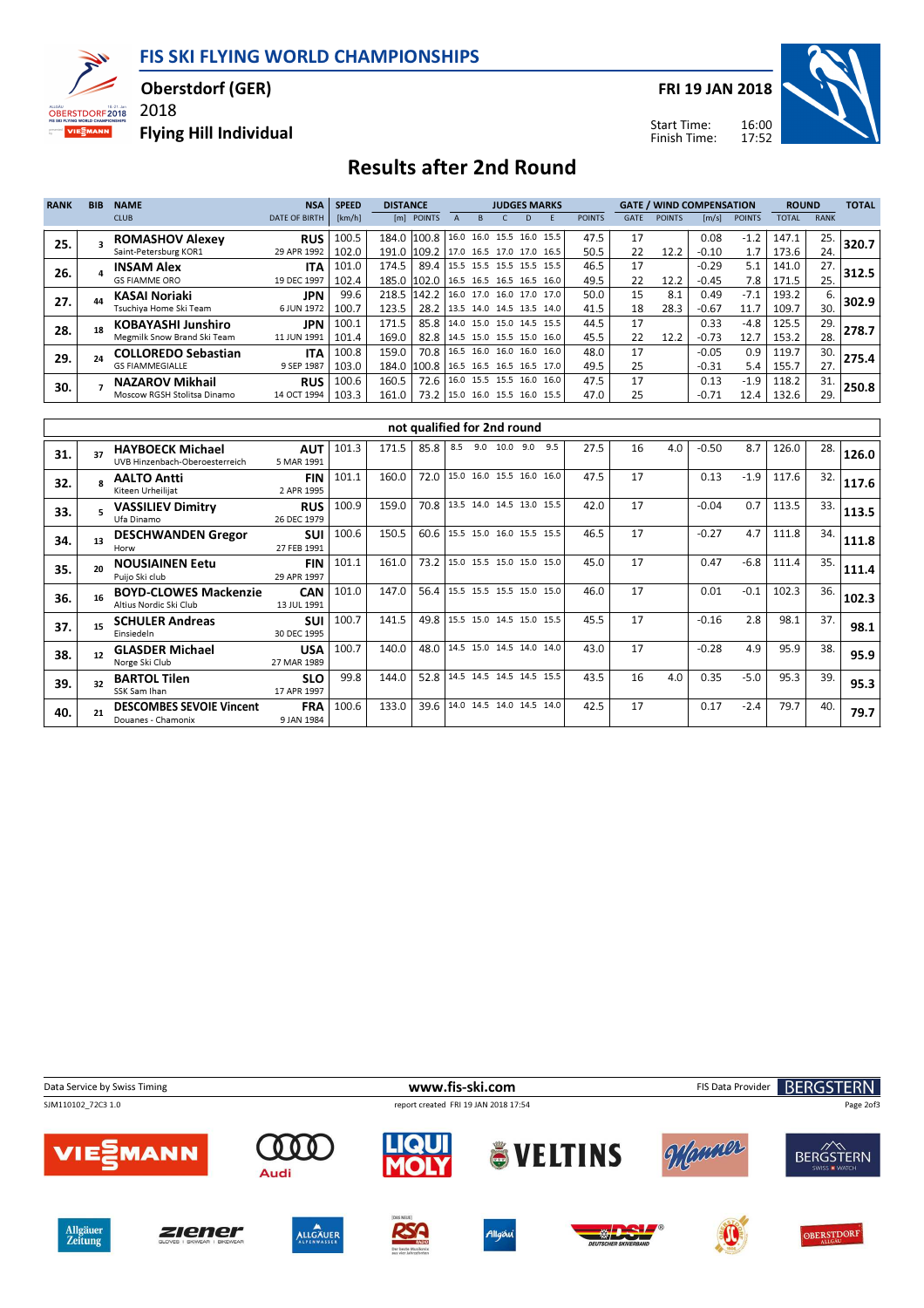FIS SKI FLYING WORLD CHAMPIONSHIPS



Oberstdorf (GER)

Flying Hill Individual

2018

FRI 19 JAN 2018



Start Time: Finish Time:

## Results after 2nd Round

| <b>RANK</b> | <b>BIB</b> | <b>NAME</b>                 | <b>NSA</b>           | <b>SPEED</b> | <b>DISTANCE</b> |                                      |  |   |   | <b>JUDGES MARKS</b>        |               |      |               | <b>GATE / WIND COMPENSATION</b> |               | <b>ROUND</b> |             | <b>TOTAL</b> |
|-------------|------------|-----------------------------|----------------------|--------------|-----------------|--------------------------------------|--|---|---|----------------------------|---------------|------|---------------|---------------------------------|---------------|--------------|-------------|--------------|
|             |            | <b>CLUB</b>                 | <b>DATE OF BIRTH</b> | [km/h]       |                 | [m] POINTS                           |  | R | D |                            | <b>POINTS</b> | GATE | <b>POINTS</b> | $\lfloor m/s \rfloor$           | <b>POINTS</b> | <b>TOTAL</b> | <b>RANK</b> |              |
| 25.         |            | <b>ROMASHOV Alexey</b>      | <b>RUS</b>           | 100.5        |                 | 184.0 100.8 16.0 16.0 15.5 16.0 15.5 |  |   |   |                            | 47.5          | 17   |               | 0.08                            | $-1.2$        | 147.1        | 25.         | 320.7        |
|             |            | Saint-Petersburg KOR1       | 29 APR 1992          | 102.0        |                 | 191.0 109.2 17.0 16.5 17.0 17.0 16.5 |  |   |   |                            | 50.5          | 22   | 12.2          | $-0.10$                         | 1.7           | 173.6        | 24.         |              |
| 26.         |            | <b>INSAM Alex</b>           | <b>ITA</b>           | 101.0        | 174.5           | 89.4 15.5 15.5 15.5 15.5 15.5        |  |   |   |                            | 46.5          | 17   |               | $-0.29$                         | 5.1           | 141.0        | 27.         | 312.5        |
|             |            | <b>GS FIAMME ORO</b>        | 19 DEC 1997          | 102.4        |                 | 185.0 102.0 16.5 16.5 16.5 16.5 16.0 |  |   |   |                            | 49.5          | 22   | 12.2          | $-0.45$                         | 7.8           | 171.5        | 25.         |              |
| 27.         |            | <b>KASAI Noriaki</b>        | JPN                  | 99.6         |                 | 218.5 142.2                          |  |   |   | $16.0$ 17.0 16.0 17.0 17.0 | 50.0          | 15   | 8.1           | 0.49                            | $-7.1$        | 193.2        | 6.          | 302.9        |
|             |            | Tsuchiva Home Ski Team      | 6 JUN 1972           | 100.7        | 123.5           | 28.2   13.5 14.0 14.5 13.5 14.0      |  |   |   |                            | 41.5          | 18   | 28.3          | $-0.67$                         | 11.7          | 109.7        | 30.         |              |
| 28.         |            | <b>KOBAYASHI Junshiro</b>   | JPN                  | 100.1        | 171.5           | 85.8 14.0 15.0 15.0 14.5 15.5        |  |   |   |                            | 44.5          | 17   |               | 0.33                            | $-4.8$        | 125.5        | 29.         | 278.7        |
|             |            | Megmilk Snow Brand Ski Team | 11 JUN 1991          | 101.4        | 169.0           | 82.8   14.5 15.0 15.5 15.0 16.0      |  |   |   |                            | 45.5          | 22   | 12.2          | $-0.73$                         | 12.7          | 153.2        | 28.         |              |
| 29.         |            | <b>COLLOREDO Sebastian</b>  | <b>ITA</b>           | 100.8        | 159.0           | 70.8   16.5 16.0 16.0 16.0 16.0      |  |   |   |                            | 48.0          | 17   |               | $-0.05$                         | 0.9           | 119.7        | 30.         | 275.4        |
|             |            | <b>GS FIAMMEGIALLE</b>      | 9 SEP 1987           | 103.0        |                 | 184.0 100.8 16.5 16.5 16.5 16.5 17.0 |  |   |   |                            | 49.5          | 25   |               | $-0.31$                         | 5.4           | 155.7        | 27.         |              |
| 30.         |            | <b>NAZAROV Mikhail</b>      | <b>RUS</b>           | 100.6        | 160.5           | 72.6   16.0 15.5 15.5 16.0           |  |   |   | 16.0                       | 47.5          | 17   |               | 0.13                            | $-1.9$        | 118.2        | 31.         | 250.8        |
|             |            | Moscow RGSH Stolitsa Dinamo | 14 OCT 1994          | 103.3        | 161.0           | 73.2 15.0 16.0 15.5 16.0 15.5        |  |   |   |                            | 47.0          | 25   |               | $-0.71$                         | 12.4          | 132.6        | 29.         |              |

|     |    |                                                           |                           |       |       | not qualified for 2nd round |                          |                          |      |     |     |      |    |     |         |        |       |     |       |
|-----|----|-----------------------------------------------------------|---------------------------|-------|-------|-----------------------------|--------------------------|--------------------------|------|-----|-----|------|----|-----|---------|--------|-------|-----|-------|
| 31. | 37 | <b>HAYBOECK Michael</b><br>UVB Hinzenbach-Oberoesterreich | <b>AUT</b><br>5 MAR 1991  | 101.3 | 171.5 | 85.8                        | 8.5                      | 9.0                      | 10.0 | 9.0 | 9.5 | 27.5 | 16 | 4.0 | $-0.50$ | 8.7    | 126.0 | 28. | 126.0 |
| 32. |    | <b>AALTO Antti</b><br>Kiteen Urheilijat                   | <b>FIN</b><br>2 APR 1995  | 101.1 | 160.0 | 72.0                        |                          | 15.0 16.0 15.5 16.0 16.0 |      |     |     | 47.5 | 17 |     | 0.13    | $-1.9$ | 117.6 | 32. | 117.6 |
| 33. |    | <b>VASSILIEV Dimitry</b><br>Ufa Dinamo                    | <b>RUS</b><br>26 DEC 1979 | 100.9 | 159.0 | 70.8                        |                          | 13.5 14.0 14.5 13.0 15.5 |      |     |     | 42.0 | 17 |     | $-0.04$ | 0.7    | 113.5 | 33. | 113.5 |
| 34. | 13 | <b>DESCHWANDEN Gregor</b><br>Horw                         | <b>SUI</b><br>27 FEB 1991 | 100.6 | 150.5 | 60.6                        |                          | 15.5 15.0 16.0 15.5 15.5 |      |     |     | 46.5 | 17 |     | $-0.27$ | 4.7    | 111.8 | 34. | 111.8 |
| 35. |    | <b>NOUSIAINEN Eetu</b><br>Puijo Ski club                  | <b>FIN</b><br>29 APR 1997 | 101.1 | 161.0 | 73.2                        |                          | 15.0 15.5 15.0 15.0 15.0 |      |     |     | 45.0 | 17 |     | 0.47    | $-6.8$ | 111.4 | 35. | 111.4 |
| 36. |    | <b>BOYD-CLOWES Mackenzie</b><br>Altius Nordic Ski Club    | <b>CAN</b><br>13 JUL 1991 | 101.0 | 147.0 | 56.4                        | 15.5 15.5 15.5 15.0 15.0 |                          |      |     |     | 46.0 | 17 |     | 0.01    | $-0.1$ | 102.3 | 36. | 102.3 |
| 37. |    | <b>SCHULER Andreas</b><br>Einsiedeln                      | <b>SUI</b><br>30 DEC 1995 | 100.7 | 141.5 | 49.8                        |                          | 15.5 15.0 14.5 15.0 15.5 |      |     |     | 45.5 | 17 |     | $-0.16$ | 2.8    | 98.1  | 37. | 98.1  |
| 38. |    | <b>GLASDER Michael</b><br>Norge Ski Club                  | <b>USA</b><br>27 MAR 1989 | 100.7 | 140.0 | 48.0                        |                          | 14.5 15.0 14.5 14.0 14.0 |      |     |     | 43.0 | 17 |     | $-0.28$ | 4.9    | 95.9  | 38. | 95.9  |
| 39. |    | <b>BARTOL Tilen</b><br>SSK Sam Ihan                       | <b>SLO</b><br>17 APR 1997 | 99.8  | 144.0 | 52.8                        |                          | 14.5 14.5 14.5 14.5 15.5 |      |     |     | 43.5 | 16 | 4.0 | 0.35    | $-5.0$ | 95.3  | 39. | 95.3  |
| 40. |    | <b>DESCOMBES SEVOIE Vincent</b><br>Douanes - Chamonix     | <b>FRA</b><br>9 JAN 1984  | 100.6 | 133.0 | 39.6                        |                          | 14.0 14.5 14.0 14.5 14.0 |      |     |     | 42.5 | 17 |     | 0.17    | $-2.4$ | 79.7  | 40. | 79.7  |